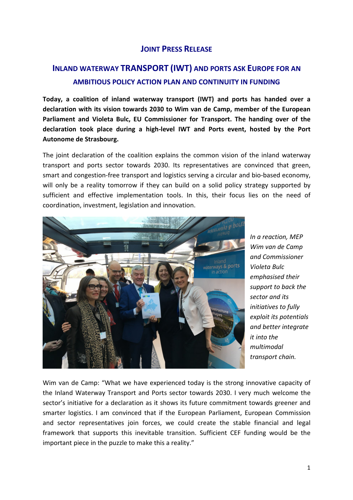## **JOINT PRESS RELEASE**

## **INLAND WATERWAY TRANSPORT (IWT) AND PORTS ASK EUROPE FOR AN AMBITIOUS POLICY ACTION PLAN AND CONTINUITY IN FUNDING**

**Today, a coalition of inland waterway transport (IWT) and ports has handed over a declaration with its vision towards 2030 to Wim van de Camp, member of the European Parliament and Violeta Bulc, EU Commissioner for Transport. The handing over of the declaration took place during a high-level IWT and Ports event, hosted by the Port Autonome de Strasbourg.**

The joint declaration of the coalition explains the common vision of the inland waterway transport and ports sector towards 2030. Its representatives are convinced that green, smart and congestion-free transport and logistics serving a circular and bio-based economy, will only be a reality tomorrow if they can build on a solid policy strategy supported by sufficient and effective implementation tools. In this, their focus lies on the need of coordination, investment, legislation and innovation.



*In a reaction, MEP Wim van de Camp and Commissioner Violeta Bulc emphasised their support to back the sector and its initiatives to fully exploit its potentials and better integrate it into the multimodal transport chain.* 

Wim van de Camp: "What we have experienced today is the strong innovative capacity of the Inland Waterway Transport and Ports sector towards 2030. I very much welcome the sector's initiative for a declaration as it shows its future commitment towards greener and smarter logistics. I am convinced that if the European Parliament, European Commission and sector representatives join forces, we could create the stable financial and legal framework that supports this inevitable transition. Sufficient CEF funding would be the important piece in the puzzle to make this a reality."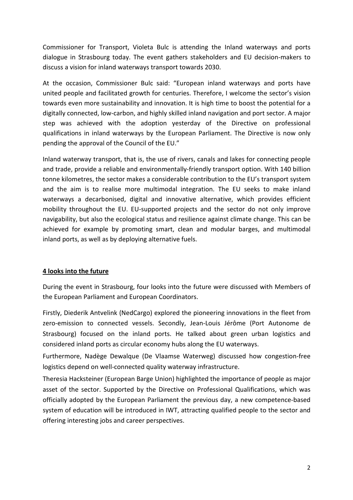Commissioner for Transport, Violeta Bulc is attending the Inland waterways and ports dialogue in Strasbourg today. The event gathers stakeholders and EU decision-makers to discuss a vision for inland waterways transport towards 2030.

At the occasion, Commissioner Bulc said: "European inland waterways and ports have united people and facilitated growth for centuries. Therefore, I welcome the sector's vision towards even more sustainability and innovation. It is high time to boost the potential for a digitally connected, low-carbon, and highly skilled inland navigation and port sector. A major step was achieved with the adoption yesterday of the Directive on professional qualifications in inland waterways by the European Parliament. The Directive is now only pending the approval of the Council of the EU."

Inland waterway transport, that is, the use of rivers, canals and lakes for connecting people and trade, provide a reliable and environmentally-friendly transport option. With 140 billion tonne kilometres, the sector makes a considerable contribution to the EU's transport system and the aim is to realise more multimodal integration. The EU seeks to make inland waterways a decarbonised, digital and innovative alternative, which provides efficient mobility throughout the EU. EU-supported projects and the sector do not only improve navigability, but also the ecological status and resilience against climate change. This can be achieved for example by promoting smart, clean and modular barges, and multimodal inland ports, as well as by deploying alternative fuels.

## **4 looks into the future**

During the event in Strasbourg, four looks into the future were discussed with Members of the European Parliament and European Coordinators.

Firstly, Diederik Antvelink (NedCargo) explored the pioneering innovations in the fleet from zero-emission to connected vessels. Secondly, Jean-Louis Jérôme (Port Autonome de Strasbourg) focused on the inland ports. He talked about green urban logistics and considered inland ports as circular economy hubs along the EU waterways.

Furthermore, Nadège Dewalque (De Vlaamse Waterweg) discussed how congestion-free logistics depend on well-connected quality waterway infrastructure.

Theresia Hacksteiner (European Barge Union) highlighted the importance of people as major asset of the sector. Supported by the Directive on Professional Qualifications, which was officially adopted by the European Parliament the previous day, a new competence-based system of education will be introduced in IWT, attracting qualified people to the sector and offering interesting jobs and career perspectives.